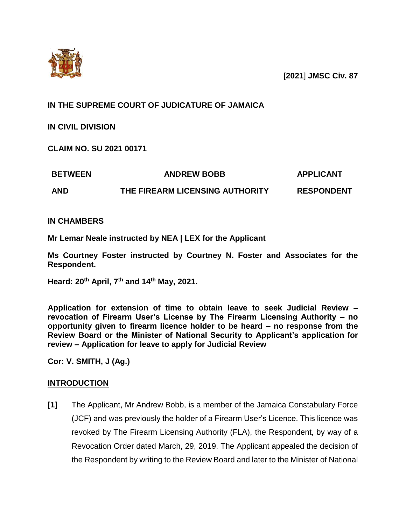

[**2021**] **JMSC Civ. 87**

# **IN THE SUPREME COURT OF JUDICATURE OF JAMAICA**

**IN CIVIL DIVISION**

**CLAIM NO. SU 2021 00171**

| <b>BETWEEN</b> | <b>ANDREW BOBB</b>              | <b>APPLICANT</b>  |
|----------------|---------------------------------|-------------------|
| <b>AND</b>     | THE FIREARM LICENSING AUTHORITY | <b>RESPONDENT</b> |

**IN CHAMBERS**

**Mr Lemar Neale instructed by NEA | LEX for the Applicant**

**Ms Courtney Foster instructed by Courtney N. Foster and Associates for the Respondent.**

**Heard: 20th April, 7 th and 14th May, 2021.**

**Application for extension of time to obtain leave to seek Judicial Review – revocation of Firearm User's License by The Firearm Licensing Authority – no opportunity given to firearm licence holder to be heard – no response from the Review Board or the Minister of National Security to Applicant's application for review – Application for leave to apply for Judicial Review**

**Cor: V. SMITH, J (Ag.)**

## **INTRODUCTION**

**[1]** The Applicant, Mr Andrew Bobb, is a member of the Jamaica Constabulary Force (JCF) and was previously the holder of a Firearm User's Licence. This licence was revoked by The Firearm Licensing Authority (FLA), the Respondent, by way of a Revocation Order dated March, 29, 2019. The Applicant appealed the decision of the Respondent by writing to the Review Board and later to the Minister of National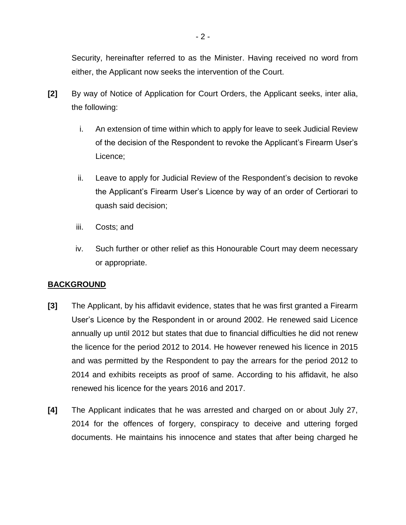Security, hereinafter referred to as the Minister. Having received no word from either, the Applicant now seeks the intervention of the Court.

- **[2]** By way of Notice of Application for Court Orders, the Applicant seeks, inter alia, the following:
	- i. An extension of time within which to apply for leave to seek Judicial Review of the decision of the Respondent to revoke the Applicant's Firearm User's Licence;
	- ii. Leave to apply for Judicial Review of the Respondent's decision to revoke the Applicant's Firearm User's Licence by way of an order of Certiorari to quash said decision;
	- iii. Costs; and
	- iv. Such further or other relief as this Honourable Court may deem necessary or appropriate.

## **BACKGROUND**

- **[3]** The Applicant, by his affidavit evidence, states that he was first granted a Firearm User's Licence by the Respondent in or around 2002. He renewed said Licence annually up until 2012 but states that due to financial difficulties he did not renew the licence for the period 2012 to 2014. He however renewed his licence in 2015 and was permitted by the Respondent to pay the arrears for the period 2012 to 2014 and exhibits receipts as proof of same. According to his affidavit, he also renewed his licence for the years 2016 and 2017.
- **[4]** The Applicant indicates that he was arrested and charged on or about July 27, 2014 for the offences of forgery, conspiracy to deceive and uttering forged documents. He maintains his innocence and states that after being charged he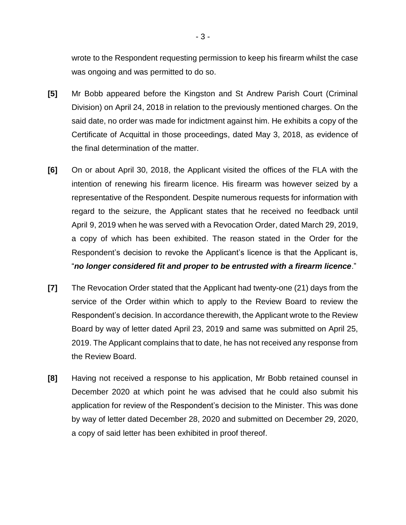wrote to the Respondent requesting permission to keep his firearm whilst the case was ongoing and was permitted to do so.

- **[5]** Mr Bobb appeared before the Kingston and St Andrew Parish Court (Criminal Division) on April 24, 2018 in relation to the previously mentioned charges. On the said date, no order was made for indictment against him. He exhibits a copy of the Certificate of Acquittal in those proceedings, dated May 3, 2018, as evidence of the final determination of the matter.
- **[6]** On or about April 30, 2018, the Applicant visited the offices of the FLA with the intention of renewing his firearm licence. His firearm was however seized by a representative of the Respondent. Despite numerous requests for information with regard to the seizure, the Applicant states that he received no feedback until April 9, 2019 when he was served with a Revocation Order, dated March 29, 2019, a copy of which has been exhibited. The reason stated in the Order for the Respondent's decision to revoke the Applicant's licence is that the Applicant is, "*no longer considered fit and proper to be entrusted with a firearm licence*."
- **[7]** The Revocation Order stated that the Applicant had twenty-one (21) days from the service of the Order within which to apply to the Review Board to review the Respondent's decision. In accordance therewith, the Applicant wrote to the Review Board by way of letter dated April 23, 2019 and same was submitted on April 25, 2019. The Applicant complains that to date, he has not received any response from the Review Board.
- **[8]** Having not received a response to his application, Mr Bobb retained counsel in December 2020 at which point he was advised that he could also submit his application for review of the Respondent's decision to the Minister. This was done by way of letter dated December 28, 2020 and submitted on December 29, 2020, a copy of said letter has been exhibited in proof thereof.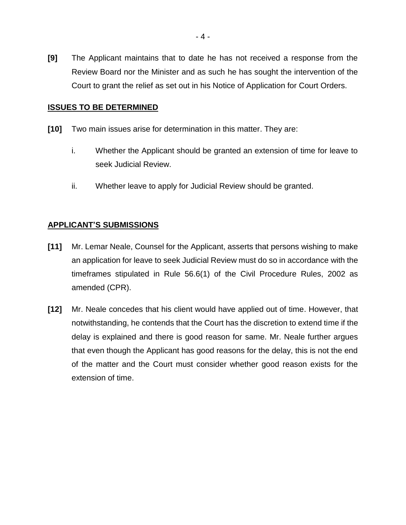**[9]** The Applicant maintains that to date he has not received a response from the Review Board nor the Minister and as such he has sought the intervention of the Court to grant the relief as set out in his Notice of Application for Court Orders.

## **ISSUES TO BE DETERMINED**

- **[10]** Two main issues arise for determination in this matter. They are:
	- i. Whether the Applicant should be granted an extension of time for leave to seek Judicial Review.
	- ii. Whether leave to apply for Judicial Review should be granted.

#### **APPLICANT'S SUBMISSIONS**

- **[11]** Mr. Lemar Neale, Counsel for the Applicant, asserts that persons wishing to make an application for leave to seek Judicial Review must do so in accordance with the timeframes stipulated in Rule 56.6(1) of the Civil Procedure Rules, 2002 as amended (CPR).
- **[12]** Mr. Neale concedes that his client would have applied out of time. However, that notwithstanding, he contends that the Court has the discretion to extend time if the delay is explained and there is good reason for same. Mr. Neale further argues that even though the Applicant has good reasons for the delay, this is not the end of the matter and the Court must consider whether good reason exists for the extension of time.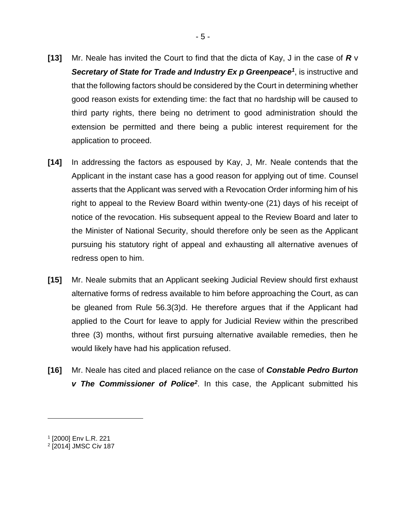- **[13]** Mr. Neale has invited the Court to find that the dicta of Kay, J in the case of *R* v Secretary of State for Trade and Industry Ex p Greenpeace<sup>1</sup>, is instructive and that the following factors should be considered by the Court in determining whether good reason exists for extending time: the fact that no hardship will be caused to third party rights, there being no detriment to good administration should the extension be permitted and there being a public interest requirement for the application to proceed.
- **[14]** In addressing the factors as espoused by Kay, J, Mr. Neale contends that the Applicant in the instant case has a good reason for applying out of time. Counsel asserts that the Applicant was served with a Revocation Order informing him of his right to appeal to the Review Board within twenty-one (21) days of his receipt of notice of the revocation. His subsequent appeal to the Review Board and later to the Minister of National Security, should therefore only be seen as the Applicant pursuing his statutory right of appeal and exhausting all alternative avenues of redress open to him.
- **[15]** Mr. Neale submits that an Applicant seeking Judicial Review should first exhaust alternative forms of redress available to him before approaching the Court, as can be gleaned from Rule 56.3(3)d. He therefore argues that if the Applicant had applied to the Court for leave to apply for Judicial Review within the prescribed three (3) months, without first pursuing alternative available remedies, then he would likely have had his application refused.
- **[16]** Mr. Neale has cited and placed reliance on the case of *Constable Pedro Burton v The Commissioner of Police<sup>2</sup>* . In this case, the Applicant submitted his

<sup>1</sup> [2000] Env L.R. 221

<sup>2</sup> [2014] JMSC Civ 187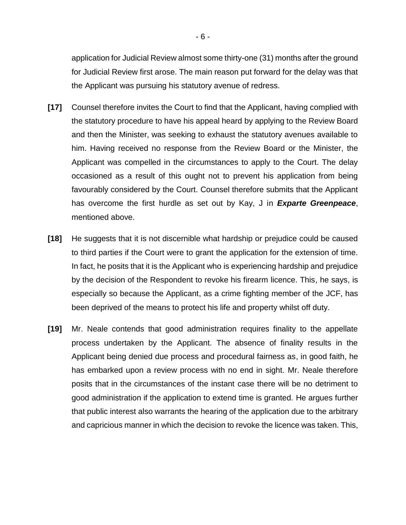application for Judicial Review almost some thirty-one (31) months after the ground for Judicial Review first arose. The main reason put forward for the delay was that the Applicant was pursuing his statutory avenue of redress.

- **[17]** Counsel therefore invites the Court to find that the Applicant, having complied with the statutory procedure to have his appeal heard by applying to the Review Board and then the Minister, was seeking to exhaust the statutory avenues available to him. Having received no response from the Review Board or the Minister, the Applicant was compelled in the circumstances to apply to the Court. The delay occasioned as a result of this ought not to prevent his application from being favourably considered by the Court. Counsel therefore submits that the Applicant has overcome the first hurdle as set out by Kay, J in *Exparte Greenpeace*, mentioned above.
- **[18]** He suggests that it is not discernible what hardship or prejudice could be caused to third parties if the Court were to grant the application for the extension of time. In fact, he posits that it is the Applicant who is experiencing hardship and prejudice by the decision of the Respondent to revoke his firearm licence. This, he says, is especially so because the Applicant, as a crime fighting member of the JCF, has been deprived of the means to protect his life and property whilst off duty.
- **[19]** Mr. Neale contends that good administration requires finality to the appellate process undertaken by the Applicant. The absence of finality results in the Applicant being denied due process and procedural fairness as, in good faith, he has embarked upon a review process with no end in sight. Mr. Neale therefore posits that in the circumstances of the instant case there will be no detriment to good administration if the application to extend time is granted. He argues further that public interest also warrants the hearing of the application due to the arbitrary and capricious manner in which the decision to revoke the licence was taken. This,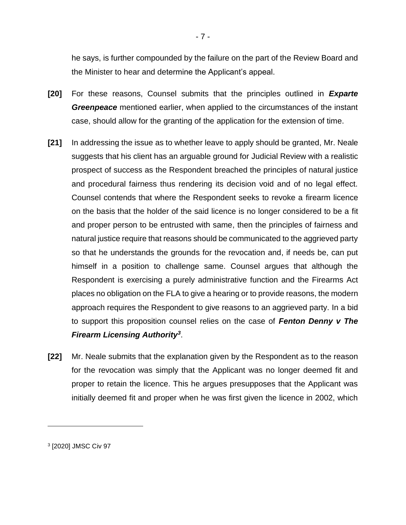he says, is further compounded by the failure on the part of the Review Board and the Minister to hear and determine the Applicant's appeal.

- **[20]** For these reasons, Counsel submits that the principles outlined in *Exparte Greenpeace* mentioned earlier, when applied to the circumstances of the instant case, should allow for the granting of the application for the extension of time.
- **[21]** In addressing the issue as to whether leave to apply should be granted, Mr. Neale suggests that his client has an arguable ground for Judicial Review with a realistic prospect of success as the Respondent breached the principles of natural justice and procedural fairness thus rendering its decision void and of no legal effect. Counsel contends that where the Respondent seeks to revoke a firearm licence on the basis that the holder of the said licence is no longer considered to be a fit and proper person to be entrusted with same, then the principles of fairness and natural justice require that reasons should be communicated to the aggrieved party so that he understands the grounds for the revocation and, if needs be, can put himself in a position to challenge same. Counsel argues that although the Respondent is exercising a purely administrative function and the Firearms Act places no obligation on the FLA to give a hearing or to provide reasons, the modern approach requires the Respondent to give reasons to an aggrieved party. In a bid to support this proposition counsel relies on the case of *Fenton Denny v The Firearm Licensing Authority<sup>3</sup>* .
- **[22]** Mr. Neale submits that the explanation given by the Respondent as to the reason for the revocation was simply that the Applicant was no longer deemed fit and proper to retain the licence. This he argues presupposes that the Applicant was initially deemed fit and proper when he was first given the licence in 2002, which

<sup>3</sup> [2020] JMSC Civ 97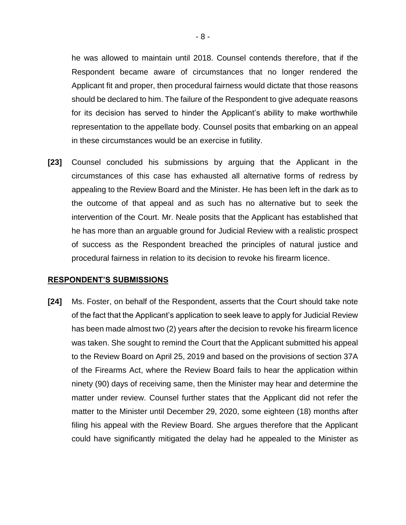he was allowed to maintain until 2018. Counsel contends therefore, that if the Respondent became aware of circumstances that no longer rendered the Applicant fit and proper, then procedural fairness would dictate that those reasons should be declared to him. The failure of the Respondent to give adequate reasons for its decision has served to hinder the Applicant's ability to make worthwhile representation to the appellate body. Counsel posits that embarking on an appeal in these circumstances would be an exercise in futility.

**[23]** Counsel concluded his submissions by arguing that the Applicant in the circumstances of this case has exhausted all alternative forms of redress by appealing to the Review Board and the Minister. He has been left in the dark as to the outcome of that appeal and as such has no alternative but to seek the intervention of the Court. Mr. Neale posits that the Applicant has established that he has more than an arguable ground for Judicial Review with a realistic prospect of success as the Respondent breached the principles of natural justice and procedural fairness in relation to its decision to revoke his firearm licence.

#### **RESPONDENT'S SUBMISSIONS**

**[24]** Ms. Foster, on behalf of the Respondent, asserts that the Court should take note of the fact that the Applicant's application to seek leave to apply for Judicial Review has been made almost two (2) years after the decision to revoke his firearm licence was taken. She sought to remind the Court that the Applicant submitted his appeal to the Review Board on April 25, 2019 and based on the provisions of section 37A of the Firearms Act, where the Review Board fails to hear the application within ninety (90) days of receiving same, then the Minister may hear and determine the matter under review. Counsel further states that the Applicant did not refer the matter to the Minister until December 29, 2020, some eighteen (18) months after filing his appeal with the Review Board. She argues therefore that the Applicant could have significantly mitigated the delay had he appealed to the Minister as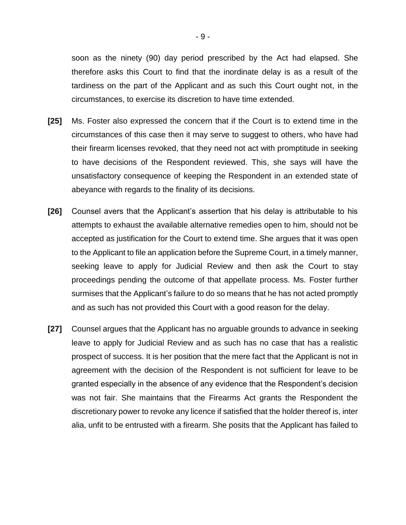soon as the ninety (90) day period prescribed by the Act had elapsed. She therefore asks this Court to find that the inordinate delay is as a result of the tardiness on the part of the Applicant and as such this Court ought not, in the circumstances, to exercise its discretion to have time extended.

- **[25]** Ms. Foster also expressed the concern that if the Court is to extend time in the circumstances of this case then it may serve to suggest to others, who have had their firearm licenses revoked, that they need not act with promptitude in seeking to have decisions of the Respondent reviewed. This, she says will have the unsatisfactory consequence of keeping the Respondent in an extended state of abeyance with regards to the finality of its decisions.
- **[26]** Counsel avers that the Applicant's assertion that his delay is attributable to his attempts to exhaust the available alternative remedies open to him, should not be accepted as justification for the Court to extend time. She argues that it was open to the Applicant to file an application before the Supreme Court, in a timely manner, seeking leave to apply for Judicial Review and then ask the Court to stay proceedings pending the outcome of that appellate process. Ms. Foster further surmises that the Applicant's failure to do so means that he has not acted promptly and as such has not provided this Court with a good reason for the delay.
- **[27]** Counsel argues that the Applicant has no arguable grounds to advance in seeking leave to apply for Judicial Review and as such has no case that has a realistic prospect of success. It is her position that the mere fact that the Applicant is not in agreement with the decision of the Respondent is not sufficient for leave to be granted especially in the absence of any evidence that the Respondent's decision was not fair. She maintains that the Firearms Act grants the Respondent the discretionary power to revoke any licence if satisfied that the holder thereof is, inter alia, unfit to be entrusted with a firearm. She posits that the Applicant has failed to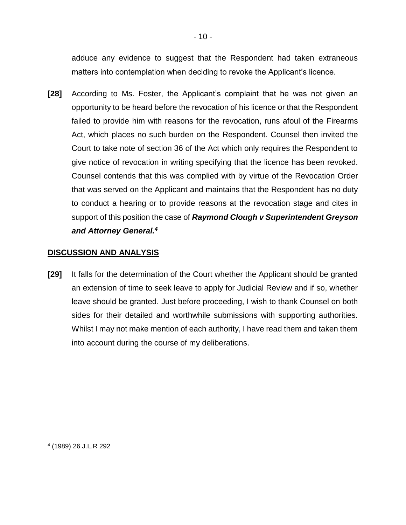adduce any evidence to suggest that the Respondent had taken extraneous matters into contemplation when deciding to revoke the Applicant's licence.

**[28]** According to Ms. Foster, the Applicant's complaint that he was not given an opportunity to be heard before the revocation of his licence or that the Respondent failed to provide him with reasons for the revocation, runs afoul of the Firearms Act, which places no such burden on the Respondent. Counsel then invited the Court to take note of section 36 of the Act which only requires the Respondent to give notice of revocation in writing specifying that the licence has been revoked. Counsel contends that this was complied with by virtue of the Revocation Order that was served on the Applicant and maintains that the Respondent has no duty to conduct a hearing or to provide reasons at the revocation stage and cites in support of this position the case of *Raymond Clough v Superintendent Greyson and Attorney General.<sup>4</sup>*

#### **DISCUSSION AND ANALYSIS**

**[29]** It falls for the determination of the Court whether the Applicant should be granted an extension of time to seek leave to apply for Judicial Review and if so, whether leave should be granted. Just before proceeding, I wish to thank Counsel on both sides for their detailed and worthwhile submissions with supporting authorities. Whilst I may not make mention of each authority, I have read them and taken them into account during the course of my deliberations.

4 (1989) 26 J.L.R 292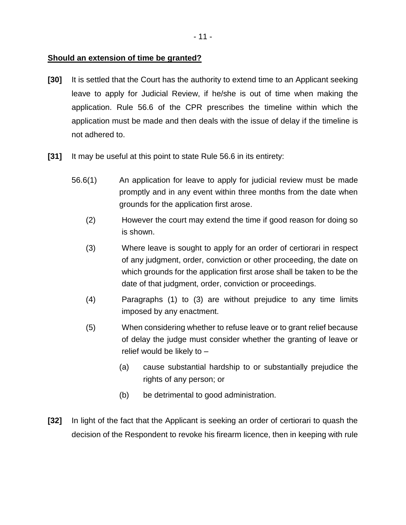## **Should an extension of time be granted?**

- **[30]** It is settled that the Court has the authority to extend time to an Applicant seeking leave to apply for Judicial Review, if he/she is out of time when making the application. Rule 56.6 of the CPR prescribes the timeline within which the application must be made and then deals with the issue of delay if the timeline is not adhered to.
- **[31]** It may be useful at this point to state Rule 56.6 in its entirety:
	- 56.6(1) An application for leave to apply for judicial review must be made promptly and in any event within three months from the date when grounds for the application first arose.
		- (2) However the court may extend the time if good reason for doing so is shown.
		- (3) Where leave is sought to apply for an order of certiorari in respect of any judgment, order, conviction or other proceeding, the date on which grounds for the application first arose shall be taken to be the date of that judgment, order, conviction or proceedings.
		- (4) Paragraphs (1) to (3) are without prejudice to any time limits imposed by any enactment.
		- (5) When considering whether to refuse leave or to grant relief because of delay the judge must consider whether the granting of leave or relief would be likely to –
			- (a) cause substantial hardship to or substantially prejudice the rights of any person; or
			- (b) be detrimental to good administration.
- **[32]** In light of the fact that the Applicant is seeking an order of certiorari to quash the decision of the Respondent to revoke his firearm licence, then in keeping with rule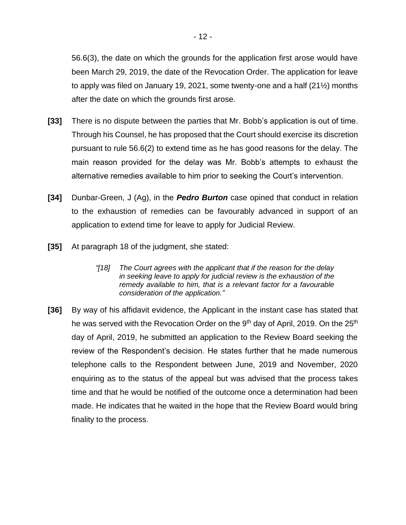56.6(3), the date on which the grounds for the application first arose would have been March 29, 2019, the date of the Revocation Order. The application for leave to apply was filed on January 19, 2021, some twenty-one and a half (21½) months after the date on which the grounds first arose.

- **[33]** There is no dispute between the parties that Mr. Bobb's application is out of time. Through his Counsel, he has proposed that the Court should exercise its discretion pursuant to rule 56.6(2) to extend time as he has good reasons for the delay. The main reason provided for the delay was Mr. Bobb's attempts to exhaust the alternative remedies available to him prior to seeking the Court's intervention.
- **[34]** Dunbar-Green, J (Ag), in the *Pedro Burton* case opined that conduct in relation to the exhaustion of remedies can be favourably advanced in support of an application to extend time for leave to apply for Judicial Review.
- **[35]** At paragraph 18 of the judgment, she stated:
	- *"[18] The Court agrees with the applicant that if the reason for the delay in seeking leave to apply for judicial review is the exhaustion of the remedy available to him, that is a relevant factor for a favourable consideration of the application."*
- **[36]** By way of his affidavit evidence, the Applicant in the instant case has stated that he was served with the Revocation Order on the 9<sup>th</sup> day of April, 2019. On the 25<sup>th</sup> day of April, 2019, he submitted an application to the Review Board seeking the review of the Respondent's decision. He states further that he made numerous telephone calls to the Respondent between June, 2019 and November, 2020 enquiring as to the status of the appeal but was advised that the process takes time and that he would be notified of the outcome once a determination had been made. He indicates that he waited in the hope that the Review Board would bring finality to the process.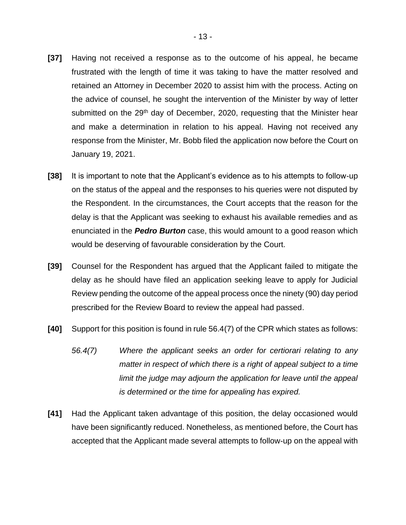- **[37]** Having not received a response as to the outcome of his appeal, he became frustrated with the length of time it was taking to have the matter resolved and retained an Attorney in December 2020 to assist him with the process. Acting on the advice of counsel, he sought the intervention of the Minister by way of letter submitted on the 29<sup>th</sup> day of December, 2020, requesting that the Minister hear and make a determination in relation to his appeal. Having not received any response from the Minister, Mr. Bobb filed the application now before the Court on January 19, 2021.
- **[38]** It is important to note that the Applicant's evidence as to his attempts to follow-up on the status of the appeal and the responses to his queries were not disputed by the Respondent. In the circumstances, the Court accepts that the reason for the delay is that the Applicant was seeking to exhaust his available remedies and as enunciated in the *Pedro Burton* case, this would amount to a good reason which would be deserving of favourable consideration by the Court.
- **[39]** Counsel for the Respondent has argued that the Applicant failed to mitigate the delay as he should have filed an application seeking leave to apply for Judicial Review pending the outcome of the appeal process once the ninety (90) day period prescribed for the Review Board to review the appeal had passed.
- **[40]** Support for this position is found in rule 56.4(7) of the CPR which states as follows:
	- *56.4(7) Where the applicant seeks an order for certiorari relating to any matter in respect of which there is a right of appeal subject to a time limit the judge may adjourn the application for leave until the appeal is determined or the time for appealing has expired.*
- **[41]** Had the Applicant taken advantage of this position, the delay occasioned would have been significantly reduced. Nonetheless, as mentioned before, the Court has accepted that the Applicant made several attempts to follow-up on the appeal with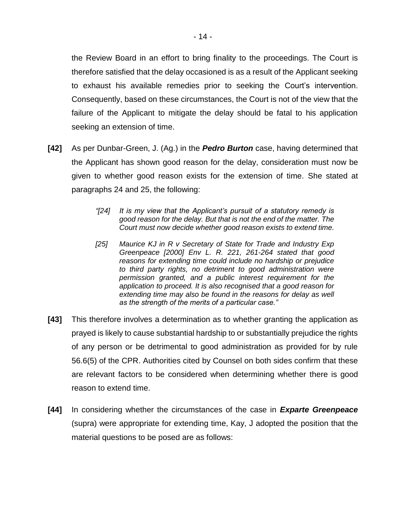the Review Board in an effort to bring finality to the proceedings. The Court is therefore satisfied that the delay occasioned is as a result of the Applicant seeking to exhaust his available remedies prior to seeking the Court's intervention. Consequently, based on these circumstances, the Court is not of the view that the failure of the Applicant to mitigate the delay should be fatal to his application seeking an extension of time.

- **[42]** As per Dunbar-Green, J. (Ag.) in the *Pedro Burton* case, having determined that the Applicant has shown good reason for the delay, consideration must now be given to whether good reason exists for the extension of time. She stated at paragraphs 24 and 25, the following:
	- *"[24] It is my view that the Applicant's pursuit of a statutory remedy is good reason for the delay. But that is not the end of the matter. The Court must now decide whether good reason exists to extend time.*
	- *[25] Maurice KJ in R v Secretary of State for Trade and Industry Exp Greenpeace [2000] Env L. R. 221, 261-264 stated that good reasons for extending time could include no hardship or prejudice to third party rights, no detriment to good administration were permission granted, and a public interest requirement for the application to proceed. It is also recognised that a good reason for extending time may also be found in the reasons for delay as well as the strength of the merits of a particular case."*
- **[43]** This therefore involves a determination as to whether granting the application as prayed is likely to cause substantial hardship to or substantially prejudice the rights of any person or be detrimental to good administration as provided for by rule 56.6(5) of the CPR. Authorities cited by Counsel on both sides confirm that these are relevant factors to be considered when determining whether there is good reason to extend time.
- **[44]** In considering whether the circumstances of the case in *Exparte Greenpeace* (supra) were appropriate for extending time, Kay, J adopted the position that the material questions to be posed are as follows: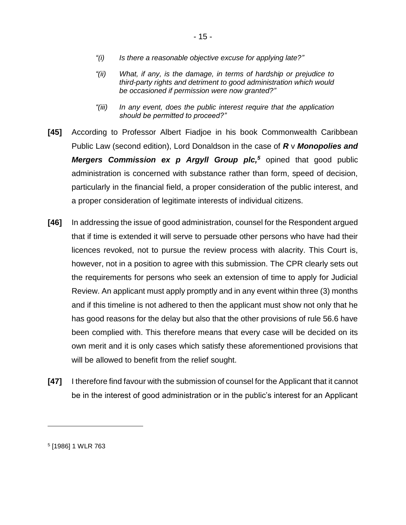- *"(i) Is there a reasonable objective excuse for applying late?"*
- *"(ii) What, if any, is the damage, in terms of hardship or prejudice to third-party rights and detriment to good administration which would be occasioned if permission were now granted?"*
- *"(iii) In any event, does the public interest require that the application should be permitted to proceed?"*
- **[45]** According to Professor Albert Fiadjoe in his book Commonwealth Caribbean Public Law (second edition), Lord Donaldson in the case of *R* v *Monopolies and Mergers Commission ex p Argyll Group plc,<sup>5</sup>* opined that good public administration is concerned with substance rather than form, speed of decision, particularly in the financial field, a proper consideration of the public interest, and a proper consideration of legitimate interests of individual citizens.
- **[46]** In addressing the issue of good administration, counsel for the Respondent argued that if time is extended it will serve to persuade other persons who have had their licences revoked, not to pursue the review process with alacrity. This Court is, however, not in a position to agree with this submission. The CPR clearly sets out the requirements for persons who seek an extension of time to apply for Judicial Review. An applicant must apply promptly and in any event within three (3) months and if this timeline is not adhered to then the applicant must show not only that he has good reasons for the delay but also that the other provisions of rule 56.6 have been complied with. This therefore means that every case will be decided on its own merit and it is only cases which satisfy these aforementioned provisions that will be allowed to benefit from the relief sought.
- **[47]** I therefore find favour with the submission of counsel for the Applicant that it cannot be in the interest of good administration or in the public's interest for an Applicant

<sup>5</sup> [1986] 1 WLR 763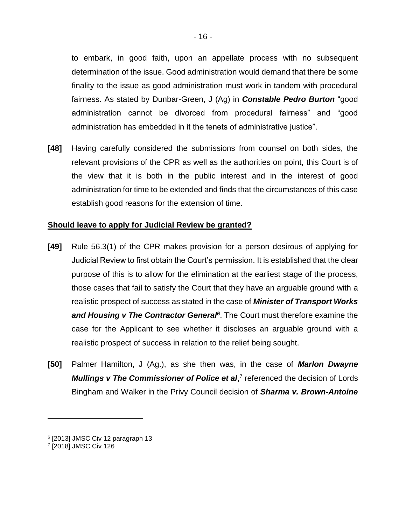to embark, in good faith, upon an appellate process with no subsequent determination of the issue. Good administration would demand that there be some finality to the issue as good administration must work in tandem with procedural fairness. As stated by Dunbar-Green, J (Ag) in *Constable Pedro Burton* "good administration cannot be divorced from procedural fairness" and "good administration has embedded in it the tenets of administrative justice".

**[48]** Having carefully considered the submissions from counsel on both sides, the relevant provisions of the CPR as well as the authorities on point, this Court is of the view that it is both in the public interest and in the interest of good administration for time to be extended and finds that the circumstances of this case establish good reasons for the extension of time.

## **Should leave to apply for Judicial Review be granted?**

- **[49]** Rule 56.3(1) of the CPR makes provision for a person desirous of applying for Judicial Review to first obtain the Court's permission. It is established that the clear purpose of this is to allow for the elimination at the earliest stage of the process, those cases that fail to satisfy the Court that they have an arguable ground with a realistic prospect of success as stated in the case of *Minister of Transport Works*  and Housing v The Contractor General<sup>6</sup>. The Court must therefore examine the case for the Applicant to see whether it discloses an arguable ground with a realistic prospect of success in relation to the relief being sought.
- **[50]** Palmer Hamilton, J (Ag.), as she then was, in the case of *Marlon Dwayne*  Mullings v The Commissioner of Police et al,<sup>7</sup> referenced the decision of Lords Bingham and Walker in the Privy Council decision of *Sharma v. Brown-Antoine*

<sup>6</sup> [2013] JMSC Civ 12 paragraph 13

<sup>7</sup> [2018] JMSC Civ 126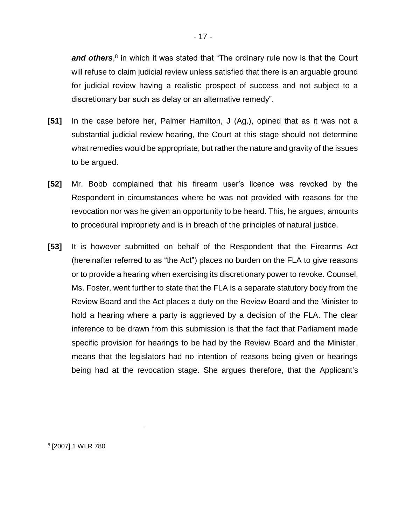and others,<sup>8</sup> in which it was stated that "The ordinary rule now is that the Court will refuse to claim judicial review unless satisfied that there is an arguable ground for judicial review having a realistic prospect of success and not subject to a discretionary bar such as delay or an alternative remedy".

- **[51]** In the case before her, Palmer Hamilton, J (Ag.), opined that as it was not a substantial judicial review hearing, the Court at this stage should not determine what remedies would be appropriate, but rather the nature and gravity of the issues to be argued.
- **[52]** Mr. Bobb complained that his firearm user's licence was revoked by the Respondent in circumstances where he was not provided with reasons for the revocation nor was he given an opportunity to be heard. This, he argues, amounts to procedural impropriety and is in breach of the principles of natural justice.
- **[53]** It is however submitted on behalf of the Respondent that the Firearms Act (hereinafter referred to as "the Act") places no burden on the FLA to give reasons or to provide a hearing when exercising its discretionary power to revoke. Counsel, Ms. Foster, went further to state that the FLA is a separate statutory body from the Review Board and the Act places a duty on the Review Board and the Minister to hold a hearing where a party is aggrieved by a decision of the FLA. The clear inference to be drawn from this submission is that the fact that Parliament made specific provision for hearings to be had by the Review Board and the Minister, means that the legislators had no intention of reasons being given or hearings being had at the revocation stage. She argues therefore, that the Applicant's

8 [2007] 1 WLR 780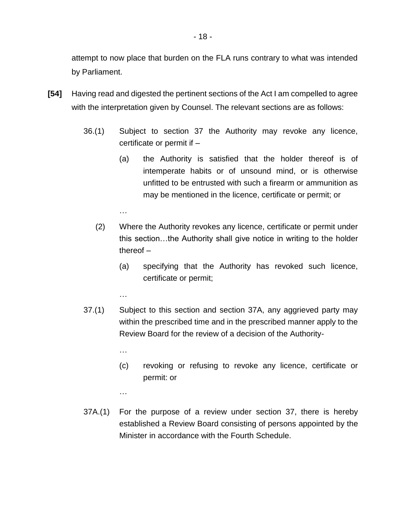attempt to now place that burden on the FLA runs contrary to what was intended by Parliament.

- **[54]** Having read and digested the pertinent sections of the Act I am compelled to agree with the interpretation given by Counsel. The relevant sections are as follows:
	- 36.(1) Subject to section 37 the Authority may revoke any licence, certificate or permit if –
		- (a) the Authority is satisfied that the holder thereof is of intemperate habits or of unsound mind, or is otherwise unfitted to be entrusted with such a firearm or ammunition as may be mentioned in the licence, certificate or permit; or
		- (2) Where the Authority revokes any licence, certificate or permit under this section…the Authority shall give notice in writing to the holder thereof –
			- (a) specifying that the Authority has revoked such licence, certificate or permit;
			- …

…

- 37.(1) Subject to this section and section 37A, any aggrieved party may within the prescribed time and in the prescribed manner apply to the Review Board for the review of a decision of the Authority-
	- …
	- (c) revoking or refusing to revoke any licence, certificate or permit: or
	- …
- 37A.(1) For the purpose of a review under section 37, there is hereby established a Review Board consisting of persons appointed by the Minister in accordance with the Fourth Schedule.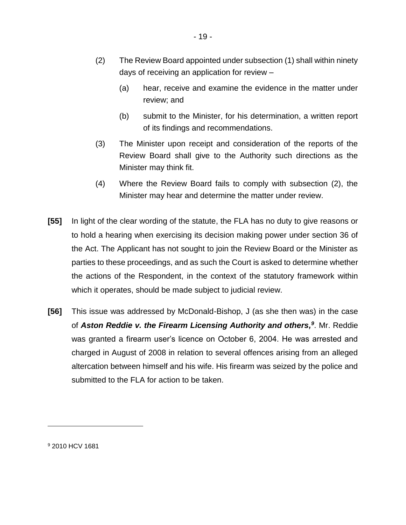- (2) The Review Board appointed under subsection (1) shall within ninety days of receiving an application for review –
	- (a) hear, receive and examine the evidence in the matter under review; and
	- (b) submit to the Minister, for his determination, a written report of its findings and recommendations.
- (3) The Minister upon receipt and consideration of the reports of the Review Board shall give to the Authority such directions as the Minister may think fit.
- (4) Where the Review Board fails to comply with subsection (2), the Minister may hear and determine the matter under review.
- **[55]** In light of the clear wording of the statute, the FLA has no duty to give reasons or to hold a hearing when exercising its decision making power under section 36 of the Act. The Applicant has not sought to join the Review Board or the Minister as parties to these proceedings, and as such the Court is asked to determine whether the actions of the Respondent, in the context of the statutory framework within which it operates, should be made subject to judicial review.
- **[56]** This issue was addressed by McDonald-Bishop, J (as she then was) in the case of Aston Reddie v. the Firearm Licensing Authority and others,<sup>9</sup>. Mr. Reddie was granted a firearm user's licence on October 6, 2004. He was arrested and charged in August of 2008 in relation to several offences arising from an alleged altercation between himself and his wife. His firearm was seized by the police and submitted to the FLA for action to be taken.

<sup>9</sup> 2010 HCV 1681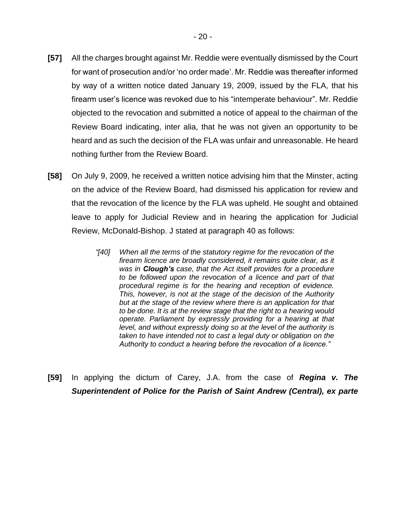- **[57]** All the charges brought against Mr. Reddie were eventually dismissed by the Court for want of prosecution and/or 'no order made'. Mr. Reddie was thereafter informed by way of a written notice dated January 19, 2009, issued by the FLA, that his firearm user's licence was revoked due to his "intemperate behaviour". Mr. Reddie objected to the revocation and submitted a notice of appeal to the chairman of the Review Board indicating, inter alia, that he was not given an opportunity to be heard and as such the decision of the FLA was unfair and unreasonable. He heard nothing further from the Review Board.
- **[58]** On July 9, 2009, he received a written notice advising him that the Minster, acting on the advice of the Review Board, had dismissed his application for review and that the revocation of the licence by the FLA was upheld. He sought and obtained leave to apply for Judicial Review and in hearing the application for Judicial Review, McDonald-Bishop. J stated at paragraph 40 as follows:
	- *"[40] When all the terms of the statutory regime for the revocation of the firearm licence are broadly considered, it remains quite clear, as it was in Clough's case, that the Act itself provides for a procedure to be followed upon the revocation of a licence and part of that procedural regime is for the hearing and reception of evidence. This, however, is not at the stage of the decision of the Authority but at the stage of the review where there is an application for that to be done. It is at the review stage that the right to a hearing would operate. Parliament by expressly providing for a hearing at that level, and without expressly doing so at the level of the authority is taken to have intended not to cast a legal duty or obligation on the Authority to conduct a hearing before the revocation of a licence."*
- **[59]** In applying the dictum of Carey, J.A. from the case of *Regina v. The Superintendent of Police for the Parish of Saint Andrew (Central), ex parte*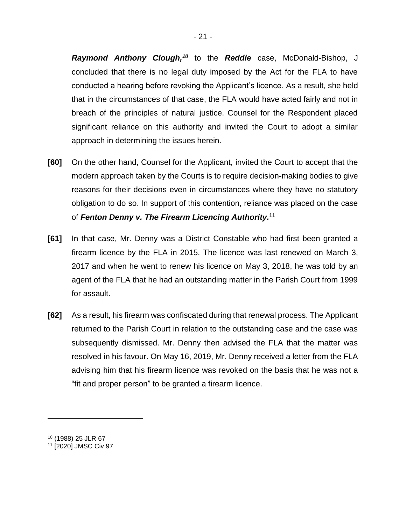*Raymond Anthony Clough, <sup>10</sup>* to the *Reddie* case, McDonald-Bishop, J concluded that there is no legal duty imposed by the Act for the FLA to have conducted a hearing before revoking the Applicant's licence. As a result, she held that in the circumstances of that case, the FLA would have acted fairly and not in breach of the principles of natural justice. Counsel for the Respondent placed significant reliance on this authority and invited the Court to adopt a similar approach in determining the issues herein.

- **[60]** On the other hand, Counsel for the Applicant, invited the Court to accept that the modern approach taken by the Courts is to require decision-making bodies to give reasons for their decisions even in circumstances where they have no statutory obligation to do so. In support of this contention, reliance was placed on the case of *Fenton Denny v. The Firearm Licencing Authority.* 11
- **[61]** In that case, Mr. Denny was a District Constable who had first been granted a firearm licence by the FLA in 2015. The licence was last renewed on March 3, 2017 and when he went to renew his licence on May 3, 2018, he was told by an agent of the FLA that he had an outstanding matter in the Parish Court from 1999 for assault.
- **[62]** As a result, his firearm was confiscated during that renewal process. The Applicant returned to the Parish Court in relation to the outstanding case and the case was subsequently dismissed. Mr. Denny then advised the FLA that the matter was resolved in his favour. On May 16, 2019, Mr. Denny received a letter from the FLA advising him that his firearm licence was revoked on the basis that he was not a "fit and proper person" to be granted a firearm licence.

<sup>10</sup> (1988) 25 JLR 67

<sup>11</sup> [2020] JMSC Civ 97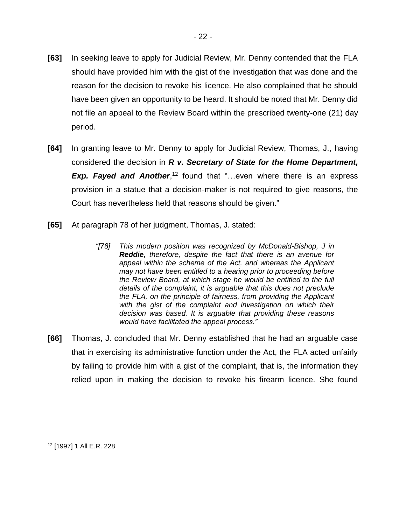- **[63]** In seeking leave to apply for Judicial Review, Mr. Denny contended that the FLA should have provided him with the gist of the investigation that was done and the reason for the decision to revoke his licence. He also complained that he should have been given an opportunity to be heard. It should be noted that Mr. Denny did not file an appeal to the Review Board within the prescribed twenty-one (21) day period.
- **[64]** In granting leave to Mr. Denny to apply for Judicial Review, Thomas, J., having considered the decision in *R v. Secretary of State for the Home Department,*  **Exp. Fayed and Another**,<sup>12</sup> found that "...even where there is an express provision in a statue that a decision-maker is not required to give reasons, the Court has nevertheless held that reasons should be given."
- **[65]** At paragraph 78 of her judgment, Thomas, J. stated:
	- *"[78] This modern position was recognized by McDonald-Bishop, J in Reddie, therefore, despite the fact that there is an avenue for appeal within the scheme of the Act, and whereas the Applicant may not have been entitled to a hearing prior to proceeding before the Review Board, at which stage he would be entitled to the full details of the complaint, it is arguable that this does not preclude the FLA, on the principle of fairness, from providing the Applicant*  with the gist of the complaint and investigation on which their *decision was based. It is arguable that providing these reasons would have facilitated the appeal process."*
- **[66]** Thomas, J. concluded that Mr. Denny established that he had an arguable case that in exercising its administrative function under the Act, the FLA acted unfairly by failing to provide him with a gist of the complaint, that is, the information they relied upon in making the decision to revoke his firearm licence. She found

<sup>12</sup> [1997] 1 All E.R. 228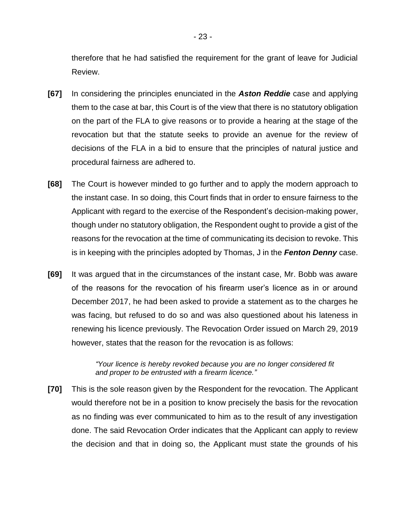therefore that he had satisfied the requirement for the grant of leave for Judicial Review.

- **[67]** In considering the principles enunciated in the *Aston Reddie* case and applying them to the case at bar, this Court is of the view that there is no statutory obligation on the part of the FLA to give reasons or to provide a hearing at the stage of the revocation but that the statute seeks to provide an avenue for the review of decisions of the FLA in a bid to ensure that the principles of natural justice and procedural fairness are adhered to.
- **[68]** The Court is however minded to go further and to apply the modern approach to the instant case. In so doing, this Court finds that in order to ensure fairness to the Applicant with regard to the exercise of the Respondent's decision-making power, though under no statutory obligation, the Respondent ought to provide a gist of the reasons for the revocation at the time of communicating its decision to revoke. This is in keeping with the principles adopted by Thomas, J in the *Fenton Denny* case.
- **[69]** It was argued that in the circumstances of the instant case, Mr. Bobb was aware of the reasons for the revocation of his firearm user's licence as in or around December 2017, he had been asked to provide a statement as to the charges he was facing, but refused to do so and was also questioned about his lateness in renewing his licence previously. The Revocation Order issued on March 29, 2019 however, states that the reason for the revocation is as follows:

*"Your licence is hereby revoked because you are no longer considered fit and proper to be entrusted with a firearm licence."*

**[70]** This is the sole reason given by the Respondent for the revocation. The Applicant would therefore not be in a position to know precisely the basis for the revocation as no finding was ever communicated to him as to the result of any investigation done. The said Revocation Order indicates that the Applicant can apply to review the decision and that in doing so, the Applicant must state the grounds of his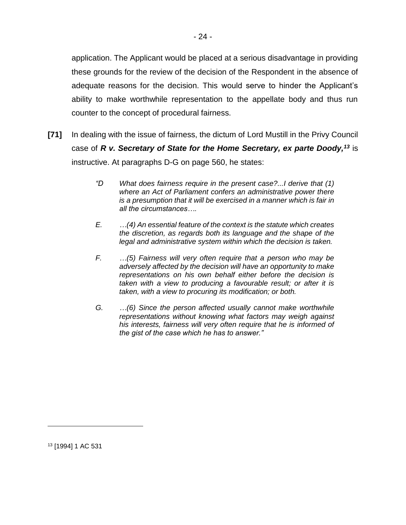application. The Applicant would be placed at a serious disadvantage in providing these grounds for the review of the decision of the Respondent in the absence of adequate reasons for the decision. This would serve to hinder the Applicant's ability to make worthwhile representation to the appellate body and thus run counter to the concept of procedural fairness.

- **[71]** In dealing with the issue of fairness, the dictum of Lord Mustill in the Privy Council case of *R v. Secretary of State for the Home Secretary, ex parte Doody,<sup>13</sup>* is instructive. At paragraphs D-G on page 560, he states:
	- *"D What does fairness require in the present case?...I derive that (1) where an Act of Parliament confers an administrative power there is a presumption that it will be exercised in a manner which is fair in all the circumstances….*
	- *E. …(4) An essential feature of the context is the statute which creates the discretion, as regards both its language and the shape of the legal and administrative system within which the decision is taken.*
	- *F. …(5) Fairness will very often require that a person who may be adversely affected by the decision will have an opportunity to make representations on his own behalf either before the decision is taken with a view to producing a favourable result; or after it is taken, with a view to procuring its modification; or both.*
	- *G. …(6) Since the person affected usually cannot make worthwhile representations without knowing what factors may weigh against his interests, fairness will very often require that he is informed of the gist of the case which he has to answer."*

<sup>13</sup> [1994] 1 AC 531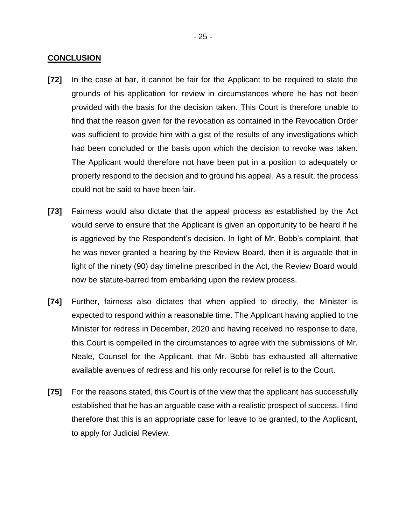#### **CONCLUSION**

- **[72]** In the case at bar, it cannot be fair for the Applicant to be required to state the grounds of his application for review in circumstances where he has not been provided with the basis for the decision taken. This Court is therefore unable to find that the reason given for the revocation as contained in the Revocation Order was sufficient to provide him with a gist of the results of any investigations which had been concluded or the basis upon which the decision to revoke was taken. The Applicant would therefore not have been put in a position to adequately or properly respond to the decision and to ground his appeal. As a result, the process could not be said to have been fair.
- **[73]** Fairness would also dictate that the appeal process as established by the Act would serve to ensure that the Applicant is given an opportunity to be heard if he is aggrieved by the Respondent's decision. In light of Mr. Bobb's complaint, that he was never granted a hearing by the Review Board, then it is arguable that in light of the ninety (90) day timeline prescribed in the Act, the Review Board would now be statute-barred from embarking upon the review process.
- **[74]** Further, fairness also dictates that when applied to directly, the Minister is expected to respond within a reasonable time. The Applicant having applied to the Minister for redress in December, 2020 and having received no response to date, this Court is compelled in the circumstances to agree with the submissions of Mr. Neale, Counsel for the Applicant, that Mr. Bobb has exhausted all alternative available avenues of redress and his only recourse for relief is to the Court.
- **[75]** For the reasons stated, this Court is of the view that the applicant has successfully established that he has an arguable case with a realistic prospect of success. I find therefore that this is an appropriate case for leave to be granted, to the Applicant, to apply for Judicial Review.